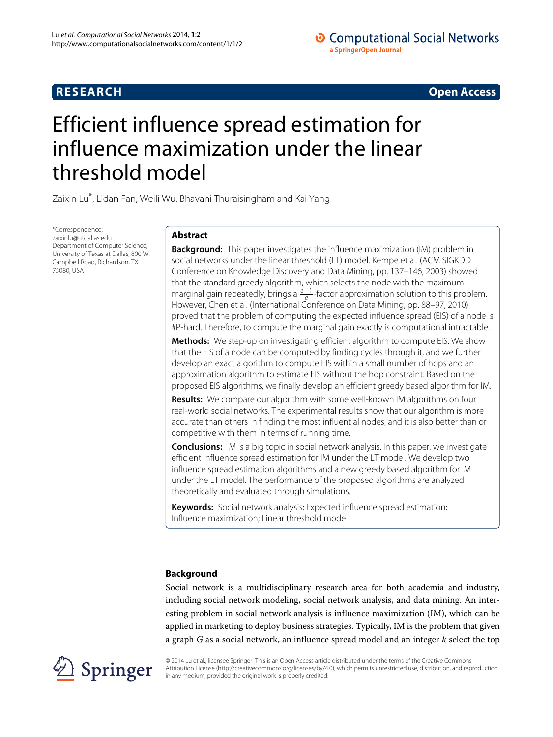# O Computational Social Networks a SpringerOpen Journal

# **RESEARCH Open Access**

# Efficient influence spread estimation for influence maximization under the linear threshold model

Zaixin Lu\* , Lidan Fan, Weili Wu, Bhavani Thuraisingham and Kai Yang

\*Correspondence: [zaixinlu@utdallas.edu](mailto:zaixinlu@utdallas.edu) Department of Computer Science, University of Texas at Dallas, 800 W. Campbell Road, Richardson, TX 75080, USA

# **Abstract**

**Background:** This paper investigates the influence maximization (IM) problem in social networks under the linear threshold (LT) model. Kempe et al. (ACM SIGKDD Conference on Knowledge Discovery and Data Mining, pp. 137–146, 2003) showed that the standard greedy algorithm, which selects the node with the maximum marginal gain repeatedly, brings a  $\frac{e-1}{e}$ -factor approximation solution to this problem. However, Chen et al. (International Conference on Data Mining, pp. 88–97, 2010) proved that the problem of computing the expected influence spread (EIS) of a node is #P-hard. Therefore, to compute the marginal gain exactly is computational intractable.

**Methods:** We step-up on investigating efficient algorithm to compute EIS. We show that the EIS of a node can be computed by finding cycles through it, and we further develop an exact algorithm to compute EIS within a small number of hops and an approximation algorithm to estimate EIS without the hop constraint. Based on the proposed EIS algorithms, we finally develop an efficient greedy based algorithm for IM.

**Results:** We compare our algorithm with some well-known IM algorithms on four real-world social networks. The experimental results show that our algorithm is more accurate than others in finding the most influential nodes, and it is also better than or competitive with them in terms of running time.

**Conclusions:** IM is a big topic in social network analysis. In this paper, we investigate efficient influence spread estimation for IM under the LT model. We develop two influence spread estimation algorithms and a new greedy based algorithm for IM under the LT model. The performance of the proposed algorithms are analyzed theoretically and evaluated through simulations.

**Keywords:** Social network analysis; Expected influence spread estimation; Influence maximization; Linear threshold model

# **Background**

Social network is a multidisciplinary research area for both academia and industry, including social network modeling, social network analysis, and data mining. An interesting problem in social network analysis is influence maximization (IM), which can be applied in marketing to deploy business strategies. Typically, IM is the problem that given a graph *G* as a social network, an influence spread model and an integer *k* select the top



© 2014 Lu et al.; licensee Springer. This is an Open Access article distributed under the terms of the Creative Commons Attribution License [\(http://creativecommons.org/licenses/by/4.0\)](http://creativecommons.org/licenses/by/4.0), which permits unrestricted use, distribution, and reproduction in any medium, provided the original work is properly credited.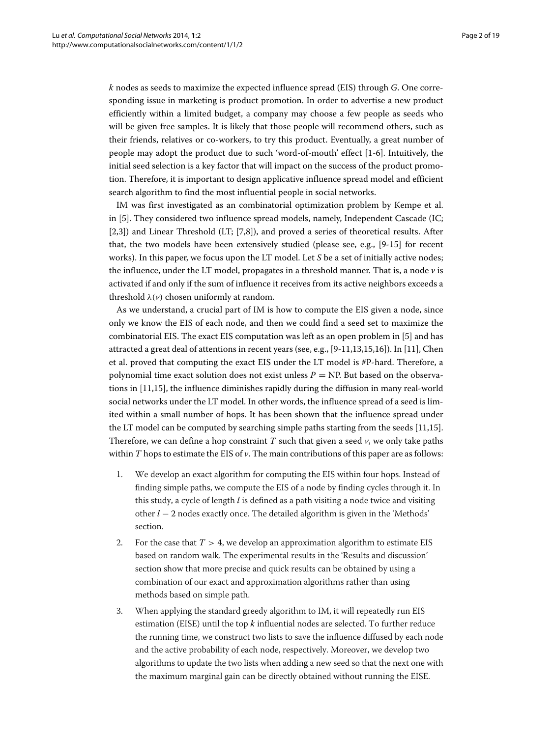*k* nodes as seeds to maximize the expected influence spread (EIS) through *G*. One corresponding issue in marketing is product promotion. In order to advertise a new product efficiently within a limited budget, a company may choose a few people as seeds who will be given free samples. It is likely that those people will recommend others, such as their friends, relatives or co-workers, to try this product. Eventually, a great number of people may adopt the product due to such 'word-of-mouth' effect [\[1-](#page-17-0)[6\]](#page-17-1). Intuitively, the initial seed selection is a key factor that will impact on the success of the product promotion. Therefore, it is important to design applicative influence spread model and efficient search algorithm to find the most influential people in social networks.

IM was first investigated as an combinatorial optimization problem by Kempe et al. in [\[5\]](#page-17-2). They considered two influence spread models, namely, Independent Cascade (IC; [\[2](#page-17-3)[,3\]](#page-17-4)) and Linear Threshold (LT; [\[7,](#page-17-5)[8\]](#page-17-6)), and proved a series of theoretical results. After that, the two models have been extensively studied (please see, e.g., [\[9](#page-17-7)[-15\]](#page-18-0) for recent works). In this paper, we focus upon the LT model. Let *S* be a set of initially active nodes; the influence, under the LT model, propagates in a threshold manner. That is, a node *v* is activated if and only if the sum of influence it receives from its active neighbors exceeds a threshold  $\lambda(\nu)$  chosen uniformly at random.

As we understand, a crucial part of IM is how to compute the EIS given a node, since only we know the EIS of each node, and then we could find a seed set to maximize the combinatorial EIS. The exact EIS computation was left as an open problem in [\[5\]](#page-17-2) and has attracted a great deal of attentions in recent years (see, e.g., [\[9-](#page-17-7)[11](#page-17-8)[,13](#page-17-9)[,15](#page-18-0)[,16\]](#page-18-1)). In [\[11\]](#page-17-8), Chen et al. proved that computing the exact EIS under the LT model is #P-hard. Therefore, a polynomial time exact solution does not exist unless  $P = NP$ . But based on the observations in [\[11](#page-17-8)[,15\]](#page-18-0), the influence diminishes rapidly during the diffusion in many real-world social networks under the LT model. In other words, the influence spread of a seed is limited within a small number of hops. It has been shown that the influence spread under the LT model can be computed by searching simple paths starting from the seeds [\[11](#page-17-8)[,15\]](#page-18-0). Therefore, we can define a hop constraint  $T$  such that given a seed  $\nu$ , we only take paths within *T* hops to estimate the EIS of *v*. The main contributions of this paper are as follows:

- 1. We develop an exact algorithm for computing the EIS within four hops. Instead of finding simple paths, we compute the EIS of a node by finding cycles through it. In this study, a cycle of length *l* is defined as a path visiting a node twice and visiting other *l* − 2 nodes exactly once. The detailed algorithm is given in the ['Methods'](#page-4-0) section.
- 2. For the case that  $T > 4$ , we develop an approximation algorithm to estimate EIS based on random walk. The experimental results in the ['Results and discussion'](#page-13-0) section show that more precise and quick results can be obtained by using a combination of our exact and approximation algorithms rather than using methods based on simple path.
- 3. When applying the standard greedy algorithm to IM, it will repeatedly run EIS estimation (EISE) until the top *k* influential nodes are selected. To further reduce the running time, we construct two lists to save the influence diffused by each node and the active probability of each node, respectively. Moreover, we develop two algorithms to update the two lists when adding a new seed so that the next one with the maximum marginal gain can be directly obtained without running the EISE.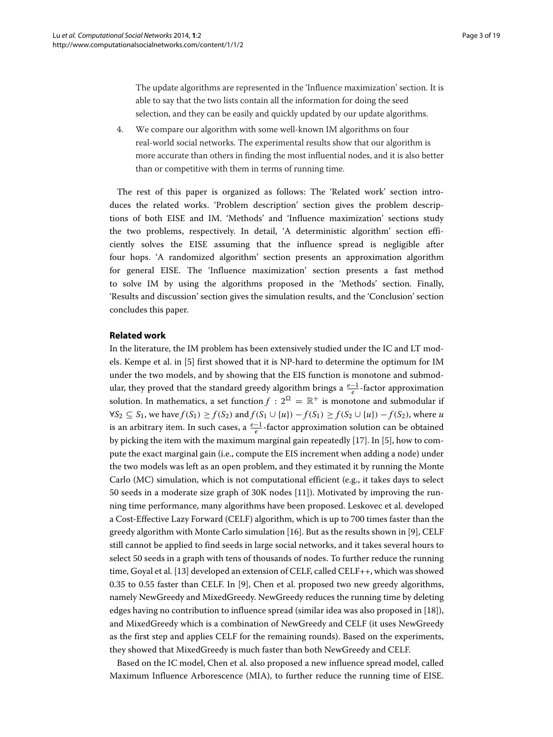The update algorithms are represented in the ['Influence maximization'](#page-11-0) section. It is able to say that the two lists contain all the information for doing the seed selection, and they can be easily and quickly updated by our update algorithms.

4. We compare our algorithm with some well-known IM algorithms on four real-world social networks. The experimental results show that our algorithm is more accurate than others in finding the most influential nodes, and it is also better than or competitive with them in terms of running time.

The rest of this paper is organized as follows: The ['Related work'](#page-2-0) section introduces the related works. ['Problem description'](#page-3-0) section gives the problem descriptions of both EISE and IM. ['Methods'](#page-4-0) and ['Influence maximization'](#page-11-0) sections study the two problems, respectively. In detail, ['A deterministic algorithm'](#page-4-1) section efficiently solves the EISE assuming that the influence spread is negligible after four hops. ['A randomized algorithm'](#page-9-0) section presents an approximation algorithm for general EISE. The ['Influence maximization'](#page-11-0) section presents a fast method to solve IM by using the algorithms proposed in the ['Methods'](#page-4-0) section. Finally, ['Results and discussion'](#page-13-0) section gives the simulation results, and the ['Conclusion'](#page-17-10) section concludes this paper.

### <span id="page-2-0"></span>**Related work**

In the literature, the IM problem has been extensively studied under the IC and LT models. Kempe et al. in [\[5\]](#page-17-2) first showed that it is NP-hard to determine the optimum for IM under the two models, and by showing that the EIS function is monotone and submodular, they proved that the standard greedy algorithm brings a *<sup>e</sup>*−<sup>1</sup> *<sup>e</sup>* -factor approximation solution. In mathematics, a set function  $f : 2^{\Omega} = \mathbb{R}^+$  is monotone and submodular if  $\forall S_2 \subseteq S_1$ , we have  $f(S_1) \ge f(S_2)$  and  $f(S_1 \cup \{u\}) - f(S_1) \ge f(S_2 \cup \{u\}) - f(S_2)$ , where *u* is an arbitrary item. In such cases, a  $\frac{e-1}{e}$ -factor approximation solution can be obtained by picking the item with the maximum marginal gain repeatedly [\[17\]](#page-18-2). In [\[5\]](#page-17-2), how to compute the exact marginal gain (i.e., compute the EIS increment when adding a node) under the two models was left as an open problem, and they estimated it by running the Monte Carlo (MC) simulation, which is not computational efficient (e.g., it takes days to select 50 seeds in a moderate size graph of 30K nodes [\[11\]](#page-17-8)). Motivated by improving the running time performance, many algorithms have been proposed. Leskovec et al. developed a Cost-Effective Lazy Forward (CELF) algorithm, which is up to 700 times faster than the greedy algorithm with Monte Carlo simulation [\[16\]](#page-18-1). But as the results shown in [\[9\]](#page-17-7), CELF still cannot be applied to find seeds in large social networks, and it takes several hours to select 50 seeds in a graph with tens of thousands of nodes. To further reduce the running time, Goyal et al. [\[13\]](#page-17-9) developed an extension of CELF, called CELF++, which was showed 0.35 to 0.55 faster than CELF. In [\[9\]](#page-17-7), Chen et al. proposed two new greedy algorithms, namely NewGreedy and MixedGreedy. NewGreedy reduces the running time by deleting edges having no contribution to influence spread (similar idea was also proposed in [\[18\]](#page-18-3)), and MixedGreedy which is a combination of NewGreedy and CELF (it uses NewGreedy as the first step and applies CELF for the remaining rounds). Based on the experiments, they showed that MixedGreedy is much faster than both NewGreedy and CELF.

Based on the IC model, Chen et al. also proposed a new influence spread model, called Maximum Influence Arborescence (MIA), to further reduce the running time of EISE.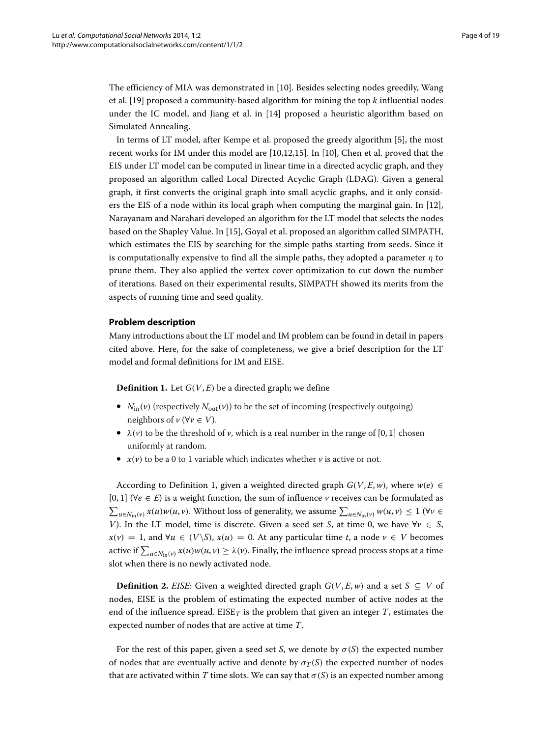The efficiency of MIA was demonstrated in [\[10\]](#page-17-11). Besides selecting nodes greedily, Wang et al. [\[19\]](#page-18-4) proposed a community-based algorithm for mining the top *k* influential nodes under the IC model, and Jiang et al. in [\[14\]](#page-18-5) proposed a heuristic algorithm based on Simulated Annealing.

In terms of LT model, after Kempe et al. proposed the greedy algorithm [\[5\]](#page-17-2), the most recent works for IM under this model are [\[10](#page-17-11)[,12](#page-17-12)[,15\]](#page-18-0). In [\[10\]](#page-17-11), Chen et al. proved that the EIS under LT model can be computed in linear time in a directed acyclic graph, and they proposed an algorithm called Local Directed Acyclic Graph (LDAG). Given a general graph, it first converts the original graph into small acyclic graphs, and it only considers the EIS of a node within its local graph when computing the marginal gain. In [\[12\]](#page-17-12), Narayanam and Narahari developed an algorithm for the LT model that selects the nodes based on the Shapley Value. In [\[15\]](#page-18-0), Goyal et al. proposed an algorithm called SIMPATH, which estimates the EIS by searching for the simple paths starting from seeds. Since it is computationally expensive to find all the simple paths, they adopted a parameter  $\eta$  to prune them. They also applied the vertex cover optimization to cut down the number of iterations. Based on their experimental results, SIMPATH showed its merits from the aspects of running time and seed quality.

# <span id="page-3-0"></span>**Problem description**

Many introductions about the LT model and IM problem can be found in detail in papers cited above. Here, for the sake of completeness, we give a brief description for the LT model and formal definitions for IM and EISE.

<span id="page-3-1"></span>**Definition 1.** Let  $G(V, E)$  be a directed graph; we define

- $N_{\text{in}}(\nu)$  (respectively  $N_{\text{out}}(\nu)$ ) to be the set of incoming (respectively outgoing) neighbors of  $\nu$  ( $\forall \nu \in V$ ).
- $\lambda(\nu)$  to be the threshold of  $\nu$ , which is a real number in the range of [0, 1] chosen uniformly at random.
- $x(v)$  to be a 0 to 1 variable which indicates whether  $v$  is active or not.

According to Definition [1,](#page-3-1) given a weighted directed graph  $G(V, E, w)$ , where  $w(e) \in$ [0, 1] (∀*e* ∈ *E*) is a weight function, the sum of influence *v* receives can be formulated as  $\sum_{u \in N_{\text{in}}(v)} x(u) w(u, v)$ . Without loss of generality, we assume  $\sum_{u \in N_{\text{in}}(v)} w(u, v) \leq 1$  (∀*v* ∈ *V*). In the LT model, time is discrete. Given a seed set *S*, at time 0, we have  $\forall v \in S$ , *x*(*v*) = 1, and ∀*u* ∈ (*V*\*S*), *x*(*u*) = 0. At any particular time *t*, a node *v* ∈ *V* becomes active if  $\sum_{\mu\in N_{\text{in}}(\nu)}x(\mu)w(\mu,\nu)\geq\lambda(\nu).$  Finally, the influence spread process stops at a time slot when there is no newly activated node.

**Definition 2.** *EISE*: Given a weighted directed graph  $G(V, E, w)$  and a set  $S \subseteq V$  of nodes, EISE is the problem of estimating the expected number of active nodes at the end of the influence spread. EISE $_T$  is the problem that given an integer  $T$ , estimates the expected number of nodes that are active at time *T*.

For the rest of this paper, given a seed set *S*, we denote by  $\sigma(S)$  the expected number of nodes that are eventually active and denote by  $\sigma_T(S)$  the expected number of nodes that are activated within *T* time slots. We can say that  $\sigma(S)$  is an expected number among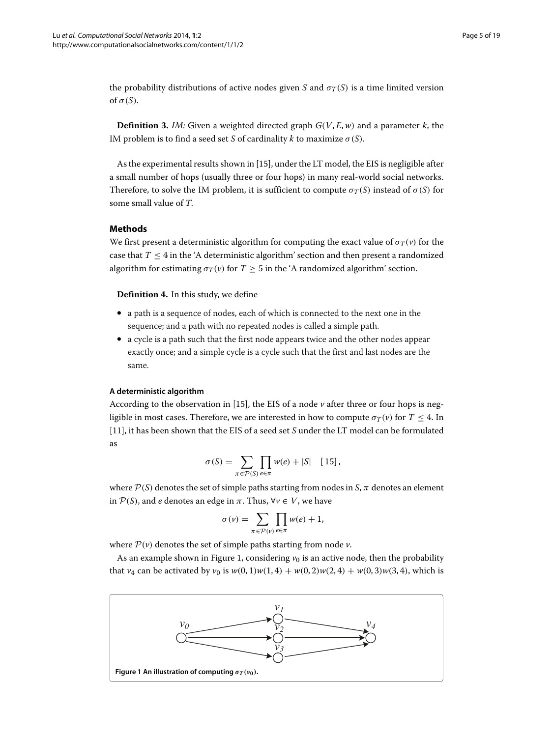the probability distributions of active nodes given *S* and  $\sigma_T(S)$  is a time limited version of  $\sigma(S)$ .

**Definition 3.** *IM:* Given a weighted directed graph *G*(*V*, *E*,*w*) and a parameter *k*, the IM problem is to find a seed set *S* of cardinality *k* to maximize  $\sigma(S)$ .

As the experimental results shown in [\[15\]](#page-18-0), under the LT model, the EIS is negligible after a small number of hops (usually three or four hops) in many real-world social networks. Therefore, to solve the IM problem, it is sufficient to compute  $\sigma_T(S)$  instead of  $\sigma(S)$  for some small value of *T*.

# <span id="page-4-0"></span>**Methods**

We first present a deterministic algorithm for computing the exact value of  $\sigma_T(v)$  for the case that  $T \leq 4$  in the ['A deterministic algorithm'](#page-4-1) section and then present a randomized algorithm for estimating  $\sigma_T(v)$  for  $T \geq 5$  in the ['A randomized algorithm'](#page-9-0) section.

**Definition 4.** In this study, we define

- a path is a sequence of nodes, each of which is connected to the next one in the sequence; and a path with no repeated nodes is called a simple path.
- a cycle is a path such that the first node appears twice and the other nodes appear exactly once; and a simple cycle is a cycle such that the first and last nodes are the same.

### <span id="page-4-1"></span>**A deterministic algorithm**

<span id="page-4-3"></span>According to the observation in [\[15\]](#page-18-0), the EIS of a node *v* after three or four hops is negligible in most cases. Therefore, we are interested in how to compute  $\sigma_T(v)$  for  $T \leq 4$ . In [\[11\]](#page-17-8), it has been shown that the EIS of a seed set *S* under the LT model can be formulated as

$$
\sigma(S) = \sum_{\pi \in \mathcal{P}(S)} \prod_{e \in \pi} w(e) + |S| \quad [15],
$$

where  $P(S)$  denotes the set of simple paths starting from nodes in  $S$ ,  $\pi$  denotes an element in  $P(S)$ , and *e* denotes an edge in  $\pi$ . Thus,  $\forall v \in V$ , we have

$$
\sigma(v) = \sum_{\pi \in \mathcal{P}(v)} \prod_{e \in \pi} w(e) + 1,
$$

where  $\mathcal{P}(v)$  denotes the set of simple paths starting from node *v*.

As an example shown in Figure [1,](#page-4-2) considering  $v_0$  is an active node, then the probability that *v*<sub>4</sub> can be activated by *v*<sub>0</sub> is *w*(0, 1)*w*(1, 4) + *w*(0, 2)*w*(2, 4) + *w*(0, 3)*w*(3, 4), which is

<span id="page-4-2"></span>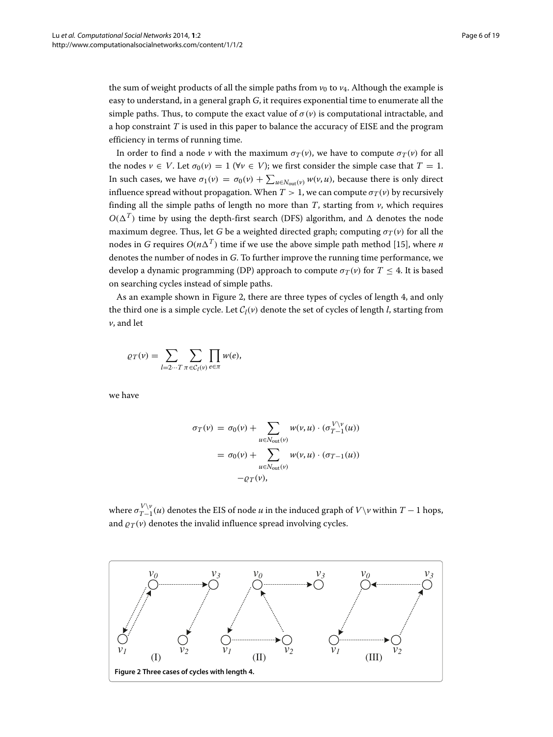the sum of weight products of all the simple paths from  $v_0$  to  $v_4$ . Although the example is easy to understand, in a general graph *G*, it requires exponential time to enumerate all the simple paths. Thus, to compute the exact value of  $\sigma(v)$  is computational intractable, and a hop constraint *T* is used in this paper to balance the accuracy of EISE and the program efficiency in terms of running time.

In order to find a node *v* with the maximum  $\sigma_T(v)$ , we have to compute  $\sigma_T(v)$  for all the nodes  $v \in V$ . Let  $\sigma_0(v) = 1$  ( $\forall v \in V$ ); we first consider the simple case that  $T = 1$ . In such cases, we have  $\sigma_1(v) = \sigma_0(v) + \sum_{u \in N_{\text{out}}(v)} w(v, u)$ , because there is only direct influence spread without propagation. When  $T > 1$ , we can compute  $\sigma_T(v)$  by recursively finding all the simple paths of length no more than  $T$ , starting from  $\nu$ , which requires  $O(\Delta^T)$  time by using the depth-first search (DFS) algorithm, and  $\Delta$  denotes the node maximum degree. Thus, let *G* be a weighted directed graph; computing  $\sigma_T(v)$  for all the nodes in *G* requires  $O(n\Delta^T)$  time if we use the above simple path method [\[15\]](#page-18-0), where *n* denotes the number of nodes in *G*. To further improve the running time performance, we develop a dynamic programming (DP) approach to compute  $\sigma_T(v)$  for  $T \leq 4$ . It is based on searching cycles instead of simple paths.

As an example shown in Figure [2,](#page-5-0) there are three types of cycles of length 4, and only the third one is a simple cycle. Let  $C_l(v)$  denote the set of cycles of length *l*, starting from *v*, and let

$$
\varrho_T(v) = \sum_{l=2\cdots T} \sum_{\pi \in C_l(v)} \prod_{e \in \pi} w(e),
$$

we have

$$
\sigma_T(\nu) = \sigma_0(\nu) + \sum_{u \in N_{\text{out}}(\nu)} w(\nu, u) \cdot (\sigma_{T-1}^{V \setminus \nu}(u))
$$

$$
= \sigma_0(\nu) + \sum_{u \in N_{\text{out}}(\nu)} w(\nu, u) \cdot (\sigma_{T-1}(u))
$$

$$
- \varrho_T(\nu),
$$

where  $\sigma_{T-1}^{V \setminus \nu}(u)$  denotes the EIS of node  $u$  in the induced graph of  $V \setminus \nu$  within  $T-1$  hops, and  $\rho_T(v)$  denotes the invalid influence spread involving cycles.

<span id="page-5-0"></span>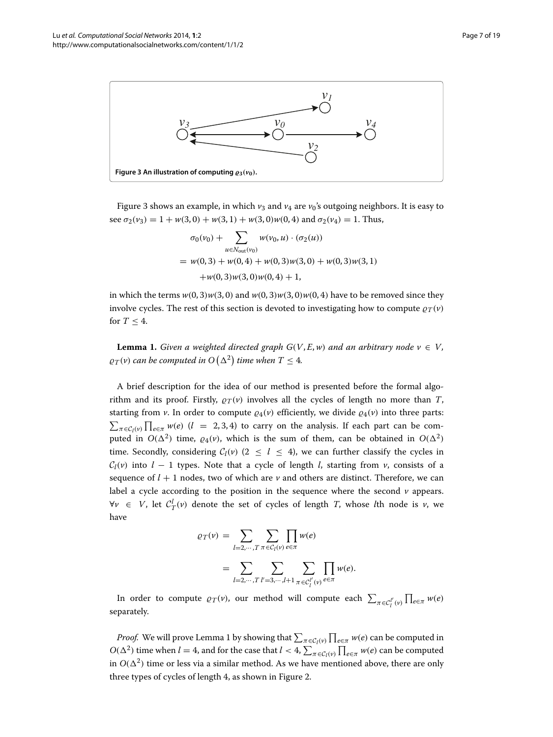

<span id="page-6-0"></span>Figure [3](#page-6-0) shows an example, in which  $v_3$  and  $v_4$  are  $v_0$ 's outgoing neighbors. It is easy to see  $\sigma_2(v_3) = 1 + w(3,0) + w(3,1) + w(3,0)w(0,4)$  and  $\sigma_2(v_4) = 1$ . Thus,

$$
\sigma_0(\nu_0) + \sum_{u \in N_{\text{out}}(\nu_0)} w(\nu_0, u) \cdot (\sigma_2(u))
$$
  
=  $w(0, 3) + w(0, 4) + w(0, 3)w(3, 0) + w(0, 3)w(3, 1)$   
+ $w(0, 3)w(3, 0)w(0, 4) + 1$ ,

in which the terms  $w(0, 3)w(3, 0)$  and  $w(0, 3)w(3, 0)w(0, 4)$  have to be removed since they involve cycles. The rest of this section is devoted to investigating how to compute  $\varrho_T(v)$ for  $T < 4$ .

<span id="page-6-1"></span>**Lemma 1.** *Given a weighted directed graph*  $G(V, E, w)$  *and an arbitrary node*  $v \in V$ *,*  $\varrho_T(v)$  can be computed in  $O\left(\Delta^2\right)$  time when  $T\leq 4$ .

A brief description for the idea of our method is presented before the formal algorithm and its proof. Firstly,  $\rho_T(v)$  involves all the cycles of length no more than *T*, starting from  $v$ . In order to compute  $\varrho_4(v)$  efficiently, we divide  $\varrho_4(v)$  into three parts:  $\sum_{\pi \in C_l(\nu)} \prod_{e \in \pi} w(e)$  (*l* = 2, 3, 4) to carry on the analysis. If each part can be computed in  $O(\Delta^2)$  time,  $\varrho_4(v)$ , which is the sum of them, can be obtained in  $O(\Delta^2)$ time. Secondly, considering  $C_l(v)$  (2 < 1 < 4), we can further classify the cycles in  $C_l(v)$  into  $l-1$  types. Note that a cycle of length *l*, starting from *v*, consists of a sequence of  $l + 1$  nodes, two of which are  $\nu$  and others are distinct. Therefore, we can label a cycle according to the position in the sequence where the second  $\nu$  appears. ∀*v* ∈ *V*, let  $C_T^l$ (*v*) denote the set of cycles of length *T*, whose *l*th node is *v*, we have

$$
\varrho_T(v) = \sum_{l=2,\cdots,T} \sum_{\pi \in C_l(v)} \prod_{e \in \pi} w(e)
$$
  
= 
$$
\sum_{l=2,\cdots,T} \sum_{l'=3,\cdots,l+1} \sum_{\pi \in C_l^{l'}(v)} \prod_{e \in \pi} w(e).
$$

In order to compute  $\varrho_T(v)$ , our method will compute each  $\sum_{\pi \in C_l^l'(v)} \prod_{e \in \pi} w(e)$ separately.

*Proof.* We will prove Lemma [1](#page-6-1) by showing that  $\sum_{\pi \in C_l(\nu)} \prod_{e \in \pi} w(e)$  can be computed in  $O(\Delta^2)$  time when *l* = 4, and for the case that *l* < 4,  $\sum_{\pi \in C_l(v)} \prod_{e \in \pi} w(e)$  can be computed in  $O(\Delta^2)$  time or less via a similar method. As we have mentioned above, there are only three types of cycles of length 4, as shown in Figure [2.](#page-5-0)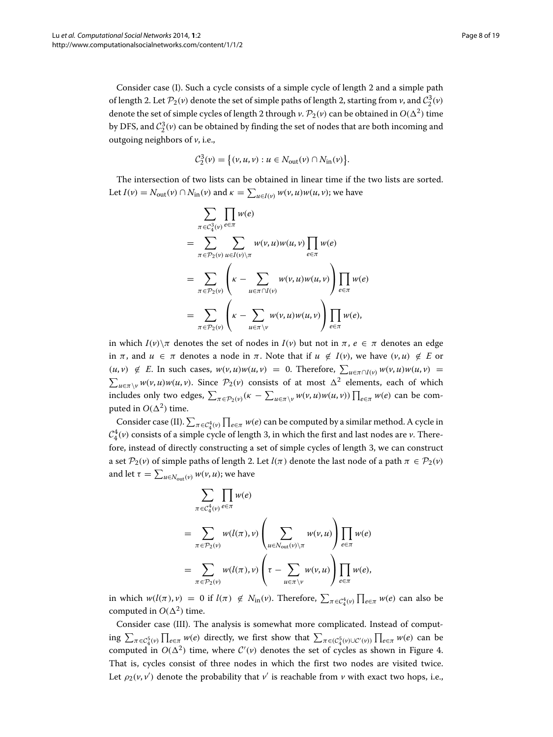Consider case (I). Such a cycle consists of a simple cycle of length 2 and a simple path of length 2. Let  $\mathcal{P}_2(v)$  denote the set of simple paths of length 2, starting from  $v$ , and  $\mathcal{C}_2^3(v)$ denote the set of simple cycles of length 2 through  $\nu$ .  $\mathcal{P}_2(\nu)$  can be obtained in  $O(\Delta^2)$  time by DFS, and  $\mathcal{C}_2^3(v)$  can be obtained by finding the set of nodes that are both incoming and outgoing neighbors of *v*, i.e.,

$$
\mathcal{C}_2^3(\nu) = \big\{ (\nu, u, \nu) : u \in N_{\text{out}}(\nu) \cap N_{\text{in}}(\nu) \big\}.
$$

The intersection of two lists can be obtained in linear time if the two lists are sorted. Let  $I(v) = N_{\text{out}}(v) \cap N_{\text{in}}(v)$  and  $\kappa = \sum_{u \in I(v)} w(v, u) w(u, v)$ ; we have

$$
\sum_{\pi \in C_4^3(\nu)} \prod_{e \in \pi} w(e)
$$
\n
$$
= \sum_{\pi \in P_2(\nu)} \sum_{u \in I(\nu) \setminus \pi} w(v, u) w(u, v) \prod_{e \in \pi} w(e)
$$
\n
$$
= \sum_{\pi \in P_2(\nu)} \left( \kappa - \sum_{u \in \pi \cap I(\nu)} w(v, u) w(u, v) \right) \prod_{e \in \pi} w(e)
$$
\n
$$
= \sum_{\pi \in P_2(\nu)} \left( \kappa - \sum_{u \in \pi \setminus \nu} w(v, u) w(u, v) \right) \prod_{e \in \pi} w(e),
$$

in which  $I(v)\setminus\pi$  denotes the set of nodes in  $I(v)$  but not in  $\pi, e \in \pi$  denotes an edge in  $\pi$ , and  $u \in \pi$  denotes a node in  $\pi$ . Note that if  $u \notin I(v)$ , we have  $(v, u) \notin E$  or  $(u, v) \notin E$ . In such cases,  $w(v, u)w(u, v) = 0$ . Therefore,  $\Sigma$  $(u, v) \notin E$ . In such cases,  $w(v, u)w(u, v) = 0$ . Therefore,  $\sum_{u \in \pi \cap I(v)} w(v, u)w(u, v) =$ <br> $\sum_{u \in \pi \setminus v} w(v, u)w(u, v)$ . Since  $P_2(v)$  consists of at most  $\Delta^2$  elements, each of which  $\sum_{u \in \pi \setminus v} w(v, u) w(u, v)$ . Since  $\mathcal{P}_2(v)$  consists of at most  $\Delta^2$  elements, each of which includes only two edges,  $\sum_{\pi \in \mathcal{P}_2(v)} (\kappa - \sum_{u \in \pi \setminus v} w(v, u) w(u, v)) \prod_{e \in \pi} w(e)$  can be computed in  $O(\Delta^2)$  time.

Consider case (II).  $\sum_{\pi \in \mathcal{C}_4^4 (\nu)} \prod_{e \in \pi} w(e)$  can be computed by a similar method. A cycle in  $\mathcal{C}_4^4$ (*v*) consists of a simple cycle of length 3, in which the first and last nodes are *v*. Therefore, instead of directly constructing a set of simple cycles of length 3, we can construct a set  $\mathcal{P}_2(v)$  of simple paths of length 2. Let  $l(\pi)$  denote the last node of a path  $\pi \in \mathcal{P}_2(v)$ and let  $\tau = \sum_{u \in N_{\text{out}}(v)} w(v, u)$ ; we have

$$
\sum_{\pi \in C_4^4(\nu)} \prod_{e \in \pi} w(e)
$$
\n
$$
= \sum_{\pi \in P_2(\nu)} w(l(\pi), \nu) \left( \sum_{u \in N_{\text{out}}(\nu) \setminus \pi} w(v, u) \right) \prod_{e \in \pi} w(e)
$$
\n
$$
= \sum_{\pi \in P_2(\nu)} w(l(\pi), \nu) \left( \tau - \sum_{u \in \pi \setminus \nu} w(v, u) \right) \prod_{e \in \pi} w(e),
$$

in which  $w(l(\pi), v) = 0$  if  $l(\pi) \notin N_{\text{in}}(v)$ . Therefore,  $\sum_{\pi \in C_4^4(v)} \prod_{e \in \pi} w(e)$  can also be computed in  $O(\Delta^2)$  time.

Consider case (III). The analysis is somewhat more complicated. Instead of comput- $\lim_{\Delta x\to\infty} \sum_{\pi\in\mathcal{C}_4^5(\nu)} \prod_{e\in\pi} w(e)$  directly, we first show that  $\sum_{\pi\in(\mathcal{C}_4^5(\nu)\cup\mathcal{C}'(\nu))} \prod_{e\in\pi} w(e)$  can be computed in  $O(\Delta^2)$  time, where  $C'(v)$  denotes the set of cycles as shown in Figure [4.](#page-8-0) That is, cycles consist of three nodes in which the first two nodes are visited twice. Let  $\rho_2(\nu, \nu')$  denote the probability that  $\nu'$  is reachable from  $\nu$  with exact two hops, i.e.,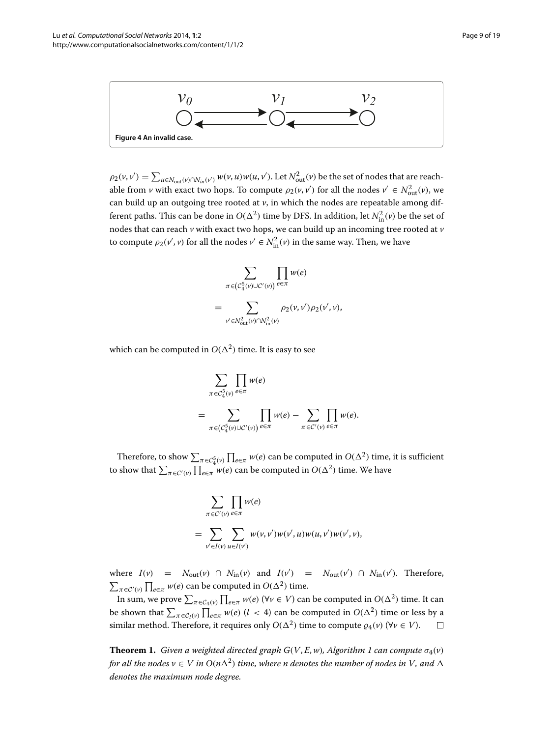<span id="page-8-0"></span>

 $\rho_2(\nu, \nu') = \sum_{u \in N_{\text{out}}(\nu) \cap N_{in}(\nu')} w(\nu, u) w(u, \nu').$  Let  $N_{\text{out}}^2(\nu)$  be the set of nodes that are reachable from *v* with exact two hops. To compute  $\rho_2(v, v')$  for all the nodes  $v' \in N_{\text{out}}^2(v)$ , we can build up an outgoing tree rooted at  $\nu$ , in which the nodes are repeatable among different paths. This can be done in  $O(\Delta^2)$  time by DFS. In addition, let  $N_{\text{in}}^2(\nu)$  be the set of nodes that can reach *v* with exact two hops, we can build up an incoming tree rooted at *v* to compute  $\rho_2(v', v)$  for all the nodes  $v' \in N_{\text{in}}^2(v)$  in the same way. Then, we have

$$
\sum_{\pi \in (C_4^5(\nu) \cup C'(\nu))} \prod_{e \in \pi} w(e)
$$

$$
= \sum_{\nu' \in N_{\text{out}}^2(\nu) \cap N_{\text{in}}^2(\nu)} \rho_2(\nu, \nu') \rho_2(\nu', \nu),
$$

which can be computed in  $O(\Delta^2)$  time. It is easy to see

$$
\begin{aligned} & \sum_{\pi \in C_4^5(\nu)} \prod_{e \in \pi} w(e) \\ & = \sum_{\pi \in \left(C_4^5(\nu) \cup C'(\nu)\right)} \prod_{e \in \pi} w(e) - \sum_{\pi \in C'(\nu)} \prod_{e \in \pi} w(e). \end{aligned}
$$

Therefore, to show  $\sum_{\pi \in C_4^5(v)} \prod_{e \in \pi} w(e)$  can be computed in  $O(\Delta^2)$  time, it is sufficient to show that  $\sum_{\pi \in C'(v)} \prod_{e \in \pi} w(e)$  can be computed in  $O(\Delta^2)$  time. We have

$$
\sum_{\pi \in C'(v)} \prod_{e \in \pi} w(e)
$$
  
= 
$$
\sum_{v' \in I(v)} \sum_{u \in I(v')} w(v, v')w(v', u)w(u, v')w(v', v),
$$

where  $I(v) = N_{out}(v) \cap N_{in}(v)$  and  $I(v') = N_{out}(v') \cap N_{in}(v')$ . Therefore,  $\sum_{\pi \in C'(v)} \prod_{e \in \pi} w(e)$  can be computed in  $O(\Delta^2)$  time.

In sum, we prove  $\sum_{\pi \in C_4(v)} \prod_{e \in \pi} w(e)$  ( $\forall v \in V$ ) can be computed in  $O(\Delta^2)$  time. It can be shown that  $\sum_{\pi \in C_l(\nu)} \prod_{e \in \pi} w(e)$  (*l* < 4) can be computed in  $O(\Delta^2)$  time or less by a similar method. Therefore, it requires only  $O(\Delta^2)$  time to compute  $\varrho_4(v)$  ( $\forall v \in V$ ).

<span id="page-8-1"></span>**Theorem [1](#page-9-1).** *Given a weighted directed graph*  $G(V, E, w)$ *, Algorithm 1 can compute*  $\sigma_4(v)$ *for all the nodes*  $v \in V$  *in*  $O(n\Delta^2)$  *time, where n denotes the number of nodes in V, and*  $\Delta$ *denotes the maximum node degree.*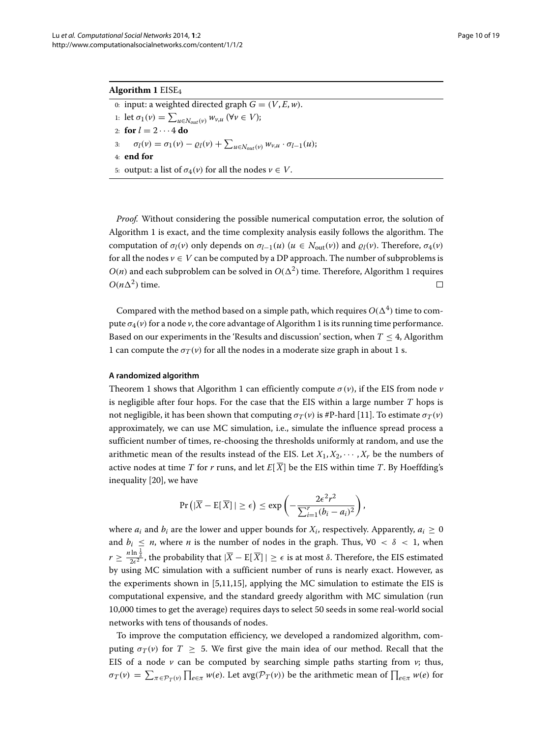#### <span id="page-9-1"></span>**Algorithm 1** EISE4

0: input: a weighted directed graph  $G = (V, E, w)$ . 1: let  $\sigma_1(\nu) = \sum_{u \in N_{out}(\nu)} w_{\nu, u}$  ( $\forall \nu \in V$ ); 2: **for**  $l = 2 \cdots 4$  **do** 3:  $\sigma_l(\nu) = \sigma_1(\nu) - \varrho_l(\nu) + \sum_{u \in N_{out}(\nu)} w_{\nu, u} \cdot \sigma_{l-1}(u);$ 4: **end for** 5: output: a list of  $\sigma_4(v)$  for all the nodes  $v \in V$ .

*Proof.* Without considering the possible numerical computation error, the solution of Algorithm [1](#page-9-1) is exact, and the time complexity analysis easily follows the algorithm. The computation of  $\sigma_l(v)$  only depends on  $\sigma_{l-1}(u)$  ( $u \in N_{\text{out}}(v)$ ) and  $\varrho_l(v)$ . Therefore,  $\sigma_4(v)$ for all the nodes  $v \in V$  can be computed by a DP approach. The number of subproblems is  $O(n)$  and each subproblem can be solved in  $O(\Delta^2)$  time. Therefore, Algorithm [1](#page-9-1) requires  $O(n\Delta^2)$  time.  $\Box$ 

Compared with the method based on a simple path, which requires  $O(\Delta^4)$  time to compute  $\sigma_4(\nu)$  for a node  $\nu$ , the core advantage of Algorithm [1](#page-9-1) is its running time performance. Based on our experiments in the ['Results and discussion'](#page-13-0) section, when  $T \leq 4$ , Algorithm [1](#page-9-1) can compute the  $\sigma_T(v)$  for all the nodes in a moderate size graph in about 1 s.

# <span id="page-9-0"></span>**A randomized algorithm**

Theorem [1](#page-9-1) shows that Algorithm 1 can efficiently compute  $\sigma(v)$ , if the EIS from node *v* is negligible after four hops. For the case that the EIS within a large number *T* hops is not negligible, it has been shown that computing  $\sigma_T(v)$  is #P-hard [\[11\]](#page-17-8). To estimate  $\sigma_T(v)$ approximately, we can use MC simulation, i.e., simulate the influence spread process a sufficient number of times, re-choosing the thresholds uniformly at random, and use the arithmetic mean of the results instead of the EIS. Let  $X_1, X_2, \cdots, X_r$  be the numbers of active nodes at time *T* for *r* runs, and let  $E[\overline{X}]$  be the EIS within time *T*. By Hoeffding's inequality [\[20\]](#page-18-6), we have

$$
\Pr\left(|\overline{X}-\mathrm{E}[\,\overline{X}\,]\,|\geq\epsilon\right)\leq \exp\left(-\frac{2\epsilon^2r^2}{\sum_{i=1}^r(b_i-a_i)^2}\right),
$$

where  $a_i$  and  $b_i$  are the lower and upper bounds for  $X_i$ , respectively. Apparently,  $a_i \geq 0$ and  $b_i \le n$ , where *n* is the number of nodes in the graph. Thus,  $\forall 0 \lt \delta \lt 1$ , when  $r\geq \frac{n\ln\frac{1}{\delta}}{2\epsilon^2}$ , the probability that  $|\overline{X}-\mathrm{E}[\,\overline{X}]\,|\geq \epsilon$  is at most  $\delta.$  Therefore, the EIS estimated by using MC simulation with a sufficient number of runs is nearly exact. However, as the experiments shown in [\[5](#page-17-2)[,11](#page-17-8)[,15\]](#page-18-0), applying the MC simulation to estimate the EIS is computational expensive, and the standard greedy algorithm with MC simulation (run 10,000 times to get the average) requires days to select 50 seeds in some real-world social networks with tens of thousands of nodes.

To improve the computation efficiency, we developed a randomized algorithm, computing  $\sigma_T(v)$  for  $T > 5$ . We first give the main idea of our method. Recall that the EIS of a node  $\nu$  can be computed by searching simple paths starting from  $\nu$ ; thus,  $\sigma_T(v) = \sum_{\pi \in \mathcal{P}_T(v)} \prod_{e \in \pi} w(e)$ . Let avg $(\mathcal{P}_T(v))$  be the arithmetic mean of  $\prod_{e \in \pi} w(e)$  for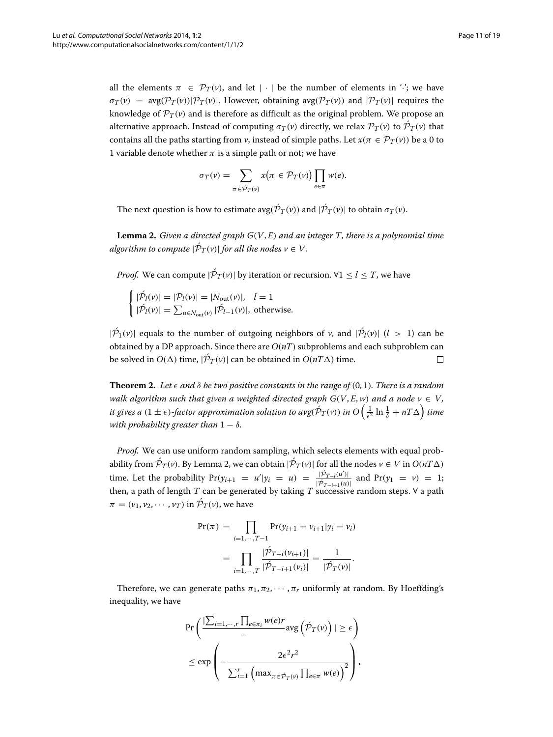all the elements  $\pi \in \mathcal{P}_T(v)$ , and let  $|\cdot|$  be the number of elements in ''; we have  $\sigma_T(v) = \arg(\mathcal{P}_T(v))|\mathcal{P}_T(v)|$ . However, obtaining  $\arg(\mathcal{P}_T(v))$  and  $|\mathcal{P}_T(v)|$  requires the knowledge of  $\mathcal{P}_T(v)$  and is therefore as difficult as the original problem. We propose an alternative approach. Instead of computing  $\sigma_T(v)$  directly, we relax  $\mathcal{P}_T(v)$  to  $\mathcal{P}_T(v)$  that contains all the paths starting from *v*, instead of simple paths. Let  $x(\pi \in \mathcal{P}_T(v))$  be a 0 to 1 variable denote whether  $\pi$  is a simple path or not; we have

$$
\sigma_T(v) = \sum_{\pi \in \mathcal{P}_T(v)} x(\pi \in \mathcal{P}_T(v)) \prod_{e \in \pi} w(e).
$$

The next question is how to estimate avg( $\hat{P}_T(v)$ ) and  $|\hat{P}_T(v)|$  to obtain  $\sigma_T(v)$ .

<span id="page-10-0"></span>**Lemma 2.** *Given a directed graph G*(*V*, *E*) *and an integer T, there is a polynomial time algorithm to compute*  $|\hat{\mathcal{P}}_T(v)|$  *for all the nodes*  $v \in V$ .

*Proof.* We can compute  $|\hat{\mathcal{P}}_T(v)|$  by iteration or recursion.  $\forall 1 \leq l \leq T$ , we have

$$
\begin{cases} |\hat{\mathcal{P}}_l(v)| = |\mathcal{P}_l(v)| = |N_{\text{out}}(v)|, & l = 1\\ |\hat{\mathcal{P}}_l(v)| = \sum_{u \in N_{\text{out}}(v)} |\hat{\mathcal{P}}_{l-1}(v)|, & \text{otherwise.} \end{cases}
$$

 $|\mathcal{P}_1(v)|$  equals to the number of outgoing neighbors of *v*, and  $|\mathcal{P}_l(v)|$  (*l* > 1) can be obtained by a DP approach. Since there are *O*(*nT*) subproblems and each subproblem can be solved in  $O(\Delta)$  time,  $|\hat{\mathcal{P}}_T(v)|$  can be obtained in  $O(nT\Delta)$  time.  $\Box$ 

<span id="page-10-1"></span>**Theorem 2.** Let  $\epsilon$  and  $\delta$  be two positive constants in the range of (0, 1). There is a random *walk algorithm such that given a weighted directed graph*  $G(V, E, w)$  *and a node*  $v \in V$ *,* it gives a  $(1\pm\epsilon)$ -factor approximation solution to avg $(\acute{\cal P}_T(v))$  in O  $\left(\frac{1}{\epsilon^2}\ln\frac{1}{\delta}+nT\Delta\right)$  time *with probability greater than*  $1 - \delta$ *.* 

*Proof.* We can use uniform random sampling, which selects elements with equal probability from  $\mathcal{P}_T(v)$ . By Lemma [2,](#page-10-0) we can obtain  $|\mathcal{P}_T(v)|$  for all the nodes  $v \in V$  in  $O(nT\Delta)$ time. Let the probability  $Pr(y_{i+1} = u'|y_i = u) = \frac{|\mathcal{P}_{T-i}(u')|}{|\mathcal{P}_{T-i+1}(u)|}$  $\frac{|P(T-i(u))|}{|\hat{P}(T-i+1(u))|}$  and  $Pr(y_1 = v) = 1;$ then, a path of length *T* can be generated by taking *T* successive random steps.  $\forall$  a path  $\pi = (\nu_1, \nu_2, \cdots, \nu_T)$  in  $\mathcal{P}_T(\nu)$ , we have

$$
Pr(\pi) = \prod_{i=1,\dots,T-1} Pr(y_{i+1} = v_{i+1}|y_i = v_i)
$$
  
= 
$$
\prod_{i=1,\dots,T} \frac{|\hat{\mathcal{P}}_{T-i}(v_{i+1})|}{|\hat{\mathcal{P}}_{T-i+1}(v_i)|} = \frac{1}{|\hat{\mathcal{P}}_T(v)|}.
$$

Therefore, we can generate paths  $\pi_1, \pi_2, \cdots, \pi_r$  uniformly at random. By Hoeffding's inequality, we have

$$
\Pr\left(\frac{\left|\sum_{i=1,\dots,r}\prod_{e\in\pi_i}w(e)r}{-\text{avg}\left(\hat{\mathcal{P}}_T(v)\right)\right|\geq \epsilon}\right) \leq \exp\left(-\frac{2\epsilon^2r^2}{\sum_{i=1}^r\left(\max_{\pi\in\hat{\mathcal{P}}_T(v)}\prod_{e\in\pi}w(e)\right)^2}\right),
$$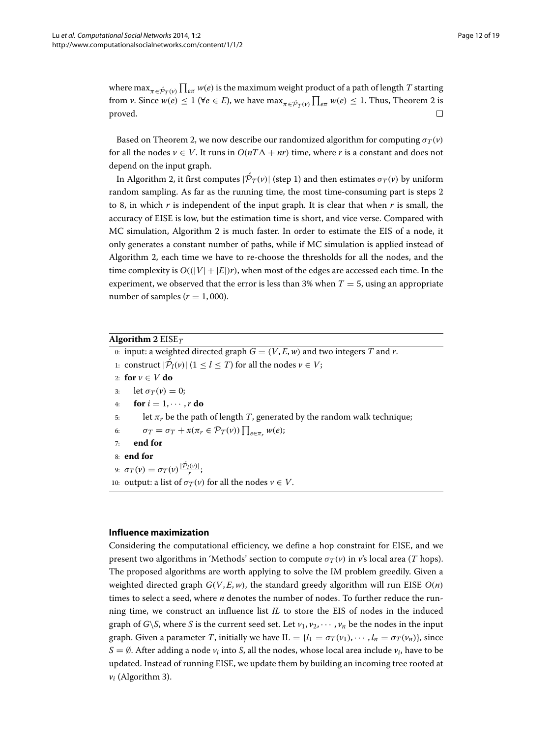where max $_{\pi \in \acute{\mathcal{P}}_T (\nu)} \prod_{e \pi} w(e)$  is the maximum weight product of a path of length  $T$  starting from *v*. Since  $w(e) \leq 1$  ( $\forall e \in E$ ), we have  $\max_{\pi \in \hat{\mathcal{P}}_T(v)} \prod_{e \pi} w(e) \leq 1$ . Thus, Theorem [2](#page-10-1) is  $\Box$ proved.

Based on Theorem [2,](#page-10-1) we now describe our randomized algorithm for computing  $\sigma_T(v)$ for all the nodes  $v \in V$ . It runs in  $O(nT\Delta + nr)$  time, where *r* is a constant and does not depend on the input graph.

In Algorithm [2,](#page-11-1) it first computes  $|\tilde{\mathcal{P}}_T(v)|$  (step 1) and then estimates  $\sigma_T(v)$  by uniform random sampling. As far as the running time, the most time-consuming part is steps 2 to 8, in which *r* is independent of the input graph. It is clear that when *r* is small, the accuracy of EISE is low, but the estimation time is short, and vice verse. Compared with MC simulation, Algorithm [2](#page-11-1) is much faster. In order to estimate the EIS of a node, it only generates a constant number of paths, while if MC simulation is applied instead of Algorithm [2,](#page-11-1) each time we have to re-choose the thresholds for all the nodes, and the time complexity is  $O((|V|+|E|)r)$ , when most of the edges are accessed each time. In the experiment, we observed that the error is less than  $3\%$  when  $T = 5$ , using an appropriate number of samples  $(r = 1,000)$ .

# <span id="page-11-1"></span>**Algorithm 2** EISE*<sup>T</sup>*

```
0: input: a weighted directed graph G = (V, E, w) and two integers T and r.
```
- 1: construct  $|\mathcal{P}_l(v)|$   $(1 \leq l \leq T)$  for all the nodes  $v \in V$ ;
- 2: **for**  $v \in V$  **do**
- 3: let  $\sigma_T(v) = 0$ ;

```
4: for i = 1, \cdots, r do
```
- 5: let  $\pi_r$  be the path of length *T*, generated by the random walk technique;
- 6:  $\sigma_T = \sigma_T + x(\pi_r \in \mathcal{P}_T(v)) \prod_{e \in \pi_r} w(e);$
- 7: **end for**
- 8: **end for**

```
9: \sigma_T(\nu) = \sigma_T(\nu) \frac{|\dot{P}_l(\nu)|}{r};
```
10: output: a list of  $\sigma_T(v)$  for all the nodes  $v \in V$ .

#### <span id="page-11-0"></span>**Influence maximization**

Considering the computational efficiency, we define a hop constraint for EISE, and we present two algorithms in ['Methods'](#page-4-0) section to compute  $\sigma_T(v)$  in *v*'s local area (*T* hops). The proposed algorithms are worth applying to solve the IM problem greedily. Given a weighted directed graph  $G(V, E, w)$ , the standard greedy algorithm will run EISE  $O(n)$ times to select a seed, where *n* denotes the number of nodes. To further reduce the running time, we construct an influence list *IL* to store the EIS of nodes in the induced graph of *G*\*S*, where *S* is the current seed set. Let  $v_1, v_2, \dots, v_n$  be the nodes in the input graph. Given a parameter *T*, initially we have IL = { $l_1 = \sigma_T(v_1), \dots, l_n = \sigma_T(v_n)$ }, since  $S = \emptyset$ . After adding a node  $v_i$  into *S*, all the nodes, whose local area include  $v_i$ , have to be updated. Instead of running EISE, we update them by building an incoming tree rooted at  $v_i$  (Algorithm [3\)](#page-12-0).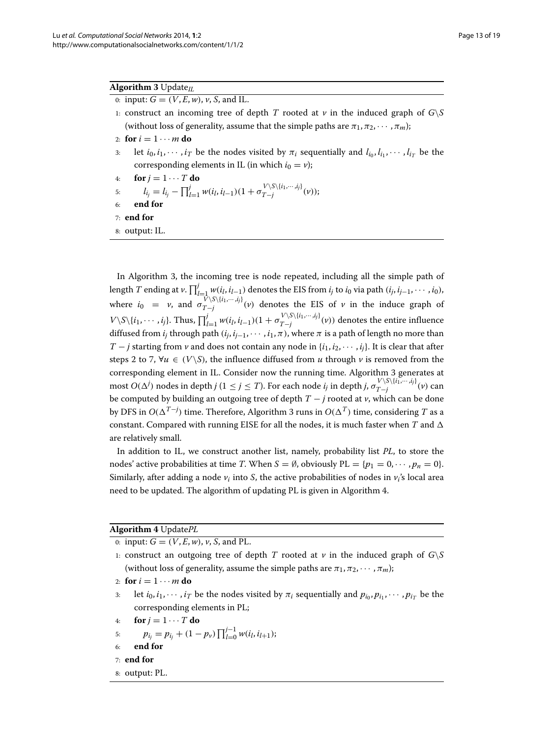# <span id="page-12-0"></span>**Algorithm 3** Update*IL*

0: input:  $G = (V, E, w)$ ,  $v, S$ , and IL.

- 1: construct an incoming tree of depth *T* rooted at  $\nu$  in the induced graph of  $G\setminus S$ (without loss of generality, assume that the simple paths are  $\pi_1, \pi_2, \cdots, \pi_m$ );
- 2: **for**  $i = 1 \cdots m$  **do**
- 3: let  $i_0, i_1, \dots, i_T$  be the nodes visited by  $\pi_i$  sequentially and  $l_{i_0}, l_{i_1}, \dots, l_{i_T}$  be the corresponding elements in IL (in which  $i_0 = v$ );
- 4: **for**  $j = 1 \cdots T$  **do**
- 5:  $l_{i_j} = l_{i_j} \prod_{l=1}^j w(i_l, i_{l-1})(1 + \sigma_{T-j}^{V\setminus S\setminus\{i_1, \cdots, i_j\}}(v));$
- 6: **end for**
- 7: **end for**
- 8: output: IL.

In Algorithm [3,](#page-12-0) the incoming tree is node repeated, including all the simple path of length *T* ending at *v*.  $\prod_{l=1}^{j} w(i_l, i_{l-1})$  denotes the EIS from  $i_j$  to  $i_0$  via path  $(i_j, i_{j-1}, \cdots, i_0)$ , where  $i_0 = v$ , and  $\sigma_{T-j}^{V\setminus S\setminus\{i_1,\cdots,i_j\}}(v)$  denotes the EIS of  $v$  in the induce graph of  $V\setminus S\setminus\{i_1,\dots,i_j\}$ . Thus,  $\prod_{l=1}^j w(i_l,i_{l-1})(1 + \sigma_{T-j}^{V\setminus S\setminus\{i_1,\dots,i_j\}}(v))$  denotes the entire influence diffused from  $i_j$  through path  $(i_j, i_{j-1}, \dots, i_1, \pi)$ , where  $\pi$  is a path of length no more than *T* − *j* starting from *v* and does not contain any node in  $\{i_1, i_2, \dots, i_j\}$ . It is clear that after steps 2 to 7,  $\forall u \in (V \setminus S)$ , the influence diffused from *u* through *v* is removed from the corresponding element in IL. Consider now the running time. Algorithm [3](#page-12-0) generates at  $\max_{j} O(\Delta^j)$  nodes in depth *j* (1 ≤ *j* ≤ *T*). For each node *i<sub>j</sub>* in depth *j*,  $\sigma_{T-j}^{V\setminus S\setminus\{i_1,\cdots,i_j\}}(v)$  can be computed by building an outgoing tree of depth *T* − *j* rooted at *v*, which can be done by DFS in *O*(*T*−*<sup>j</sup>* ) time. Therefore, Algorithm [3](#page-12-0) runs in *O*(*T*) time, considering *T* as a constant. Compared with running EISE for all the nodes, it is much faster when  $T$  and  $\Delta$ are relatively small.

In addition to IL, we construct another list, namely, probability list *PL*, to store the nodes' active probabilities at time *T*. When  $S = \emptyset$ , obviously  $PL = \{p_1 = 0, \dots, p_n = 0\}$ . Similarly, after adding a node  $v_i$  into *S*, the active probabilities of nodes in  $v_i$ 's local area need to be updated. The algorithm of updating PL is given in Algorithm [4.](#page-12-1)

# <span id="page-12-1"></span>**Algorithm 4** Update*PL*

- 0: input:  $G = (V, E, w)$ ,  $v$ , *S*, and PL.
- 1: construct an outgoing tree of depth *T* rooted at  $\nu$  in the induced graph of  $G\ S$ (without loss of generality, assume the simple paths are  $\pi_1, \pi_2, \cdots, \pi_m$ );
- 2: **for**  $i = 1 \cdots m$  **do**
- 3: let  $i_0, i_1, \dots, i_T$  be the nodes visited by  $\pi_i$  sequentially and  $p_{i_0}, p_{i_1}, \dots, p_{i_T}$  be the corresponding elements in PL;
- 4: **for**  $j = 1 \cdots T$  **do**

5: 
$$
p_{i_j} = p_{i_j} + (1 - p_{\nu}) \prod_{l=0}^{j-1} w(i_l, i_{l+1});
$$

- 6: **end for**
- 7: **end for**
- 8: output: PL.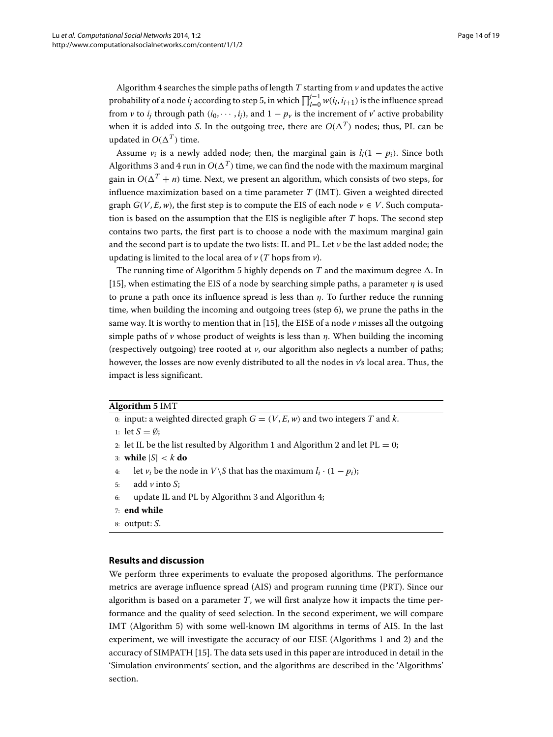Algorithm [4](#page-12-1) searches the simple paths of length *T* starting from *v* and updates the active probability of a node *i<sub>j</sub>* according to step 5, in which  $\prod_{l=0}^{j-1} w(i_l, i_{l+1})$  is the influence spread from *v* to  $i_j$  through path  $(i_0, \dots, i_j)$ , and  $1 - p_\nu$  is the increment of  $\nu'$  active probability when it is added into *S*. In the outgoing tree, there are  $O(\Delta^T)$  nodes; thus, PL can be updated in  $O(\Delta^T)$  time.

Assume  $v_i$  is a newly added node; then, the marginal gain is  $l_i(1 - p_i)$ . Since both Algorithms [3](#page-12-0) and [4](#page-12-1) run in  $O(\Delta^T)$  time, we can find the node with the maximum marginal gain in  $O(\Delta^T + n)$  time. Next, we present an algorithm, which consists of two steps, for influence maximization based on a time parameter *T* (IMT). Given a weighted directed graph  $G(V, E, w)$ , the first step is to compute the EIS of each node  $v \in V$ . Such computation is based on the assumption that the EIS is negligible after *T* hops. The second step contains two parts, the first part is to choose a node with the maximum marginal gain and the second part is to update the two lists: IL and PL. Let  $\nu$  be the last added node; the updating is limited to the local area of  $\nu$  (*T* hops from  $\nu$ ).

The running time of Algorithm [5](#page-13-1) highly depends on  $T$  and the maximum degree  $\Delta$ . In [\[15\]](#page-18-0), when estimating the EIS of a node by searching simple paths, a parameter  $\eta$  is used to prune a path once its influence spread is less than  $\eta$ . To further reduce the running time, when building the incoming and outgoing trees (step 6), we prune the paths in the same way. It is worthy to mention that in [\[15\]](#page-18-0), the EISE of a node *v* misses all the outgoing simple paths of  $\nu$  whose product of weights is less than  $\eta$ . When building the incoming (respectively outgoing) tree rooted at *v*, our algorithm also neglects a number of paths; however, the losses are now evenly distributed to all the nodes in *v*'s local area. Thus, the impact is less significant.

#### <span id="page-13-1"></span>**Algorithm 5** IMT

- 0: input: a weighted directed graph  $G = (V, E, w)$  and two integers *T* and *k*.
- 1: let  $S = \emptyset$ ;
- 2: let IL be the list resulted by Algorithm [1](#page-9-1) and Algorithm [2](#page-11-1) and let  $PL = 0$ ;
- 3: **while** |*S*| < *k* **do**
- 4: let  $v_i$  be the node in *V*\*S* that has the maximum  $l_i \cdot (1 p_i)$ ;
- 5: add  $\nu$  into *S*;
- 6: update IL and PL by Algorithm [3](#page-12-0) and Algorithm [4;](#page-12-1)
- 7: **end while**
- 8: output: *S*.

# <span id="page-13-0"></span>**Results and discussion**

We perform three experiments to evaluate the proposed algorithms. The performance metrics are average influence spread (AIS) and program running time (PRT). Since our algorithm is based on a parameter *T*, we will first analyze how it impacts the time performance and the quality of seed selection. In the second experiment, we will compare IMT (Algorithm [5\)](#page-13-1) with some well-known IM algorithms in terms of AIS. In the last experiment, we will investigate the accuracy of our EISE (Algorithms [1](#page-9-1) and [2\)](#page-11-1) and the accuracy of SIMPATH [\[15\]](#page-18-0). The data sets used in this paper are introduced in detail in the ['Simulation environments'](#page-14-0) section, and the algorithms are described in the ['Algorithms'](#page-14-1) section.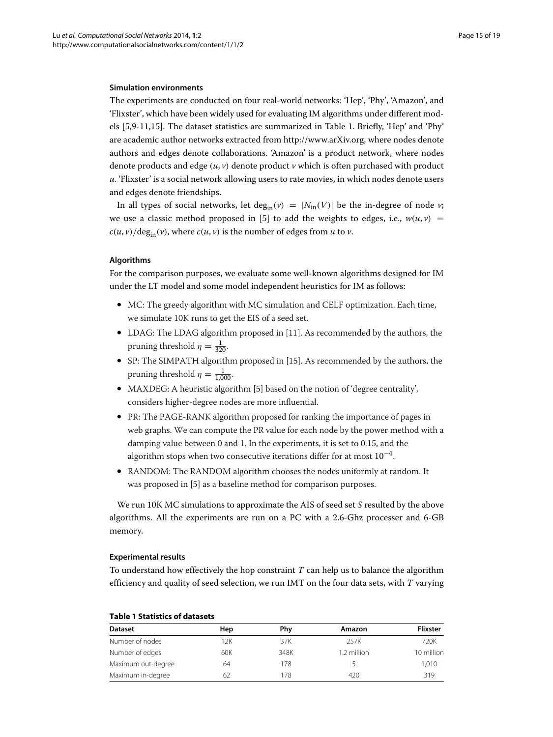#### <span id="page-14-0"></span>**Simulation environments**

The experiments are conducted on four real-world networks: 'Hep', 'Phy', 'Amazon', and 'Flixster', which have been widely used for evaluating IM algorithms under different models [\[5,](#page-17-2)[9](#page-17-7)[-11](#page-17-8)[,15\]](#page-18-0). The dataset statistics are summarized in Table [1.](#page-14-2) Briefly, 'Hep' and 'Phy' are academic author networks extracted from [http://www.arXiv.org,](http://www.arXiv.org) where nodes denote authors and edges denote collaborations. 'Amazon' is a product network, where nodes denote products and edge  $(u, v)$  denote product  $v$  which is often purchased with product *u*. 'Flixster' is a social network allowing users to rate movies, in which nodes denote users and edges denote friendships.

In all types of social networks, let deg<sub>in</sub>( $v$ ) =  $|N_{\rm in}(V)|$  be the in-degree of node *v*; we use a classic method proposed in [\[5\]](#page-17-2) to add the weights to edges, i.e.,  $w(u, v)$  =  $c(u, v)/\text{deg}_{\text{in}}(v)$ , where  $c(u, v)$  is the number of edges from *u* to *v*.

# <span id="page-14-1"></span>**Algorithms**

For the comparison purposes, we evaluate some well-known algorithms designed for IM under the LT model and some model independent heuristics for IM as follows:

- MC: The greedy algorithm with MC simulation and CELF optimization. Each time, we simulate 10K runs to get the EIS of a seed set.
- LDAG: The LDAG algorithm proposed in [\[11\]](#page-17-8). As recommended by the authors, the pruning threshold  $\eta = \frac{1}{320}$ .
- SP: The SIMPATH algorithm proposed in [\[15\]](#page-18-0). As recommended by the authors, the pruning threshold  $\eta = \frac{1}{1,000}$ .
- MAXDEG: A heuristic algorithm [\[5\]](#page-17-2) based on the notion of 'degree centrality', considers higher-degree nodes are more influential.
- PR: The PAGE-RANK algorithm proposed for ranking the importance of pages in web graphs. We can compute the PR value for each node by the power method with a damping value between 0 and 1. In the experiments, it is set to 0.15, and the algorithm stops when two consecutive iterations differ for at most  $10^{-4}$ .
- RANDOM: The RANDOM algorithm chooses the nodes uniformly at random. It was proposed in [\[5\]](#page-17-2) as a baseline method for comparison purposes.

We run 10K MC simulations to approximate the AIS of seed set *S* resulted by the above algorithms. All the experiments are run on a PC with a 2.6-Ghz processer and 6-GB memory.

#### **Experimental results**

To understand how effectively the hop constraint *T* can help us to balance the algorithm efficiency and quality of seed selection, we run IMT on the four data sets, with *T* varying

| <b>Dataset</b>     | Hep | Phy  | Amazon      | <b>Flixster</b> |
|--------------------|-----|------|-------------|-----------------|
| Number of nodes    | 12K | 37K  | 257K        | 720K            |
| Number of edges    | 60K | 348K | 1.2 million | 10 million      |
| Maximum out-degree | 64  | 178  |             | 1,010           |
| Maximum in-degree  | 62  | 178  | 420         | 319             |

# <span id="page-14-2"></span>**Table 1 Statistics of datasets**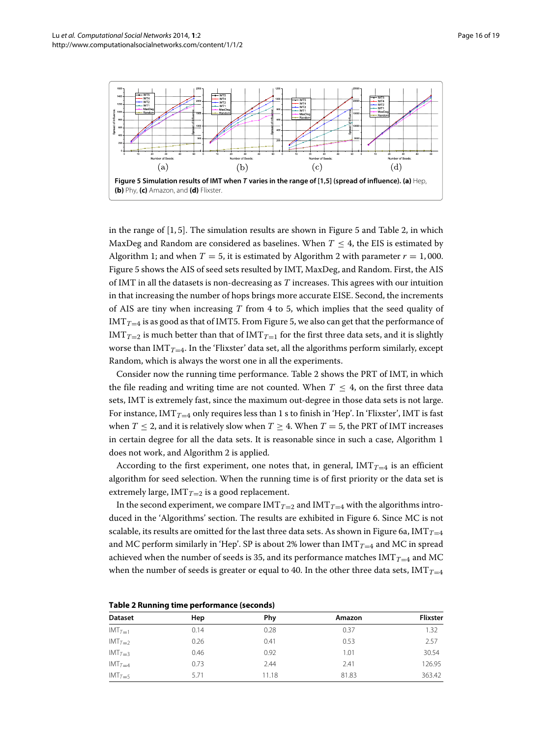

<span id="page-15-0"></span>in the range of  $[1, 5]$  $[1, 5]$  $[1, 5]$ . The simulation results are shown in Figure 5 and Table [2,](#page-15-1) in which MaxDeg and Random are considered as baselines. When  $T < 4$ , the EIS is estimated by Algorithm [1;](#page-9-1) and when  $T = 5$ , it is estimated by Algorithm [2](#page-11-1) with parameter  $r = 1,000$ . Figure [5](#page-15-0) shows the AIS of seed sets resulted by IMT, MaxDeg, and Random. First, the AIS of IMT in all the datasets is non-decreasing as *T* increases. This agrees with our intuition in that increasing the number of hops brings more accurate EISE. Second, the increments of AIS are tiny when increasing *T* from 4 to 5, which implies that the seed quality of IMT $_{T=4}$  is as good as that of IMT5. From Figure [5,](#page-15-0) we also can get that the performance of IMT<sub>*T*=2</sub> is much better than that of IMT<sub>*T*=1</sub> for the first three data sets, and it is slightly worse than  $\text{IMT}_{T=4}$ . In the 'Flixster' data set, all the algorithms perform similarly, except Random, which is always the worst one in all the experiments.

Consider now the running time performance. Table [2](#page-15-1) shows the PRT of IMT, in which the file reading and writing time are not counted. When  $T \leq 4$ , on the first three data sets, IMT is extremely fast, since the maximum out-degree in those data sets is not large. For instance, IMT<sub>*T*=4</sub> only requires less than 1 s to finish in 'Hep'. In 'Flixster', IMT is fast when  $T \le 2$ , and it is relatively slow when  $T \ge 4$ . When  $T = 5$ , the PRT of IMT increases in certain degree for all the data sets. It is reasonable since in such a case, Algorithm [1](#page-9-1) does not work, and Algorithm [2](#page-11-1) is applied.

According to the first experiment, one notes that, in general,  $\text{IMT}_{T=4}$  is an efficient algorithm for seed selection. When the running time is of first priority or the data set is extremely large,  $IMT_{T=2}$  is a good replacement.

In the second experiment, we compare  $\text{IMT}_{T=2}$  and  $\text{IMT}_{T=4}$  with the algorithms introduced in the ['Algorithms'](#page-14-1) section. The results are exhibited in Figure [6.](#page-16-0) Since MC is not scalable, its results are omitted for the last three data sets. As shown in Figure [6a](#page-16-0), IMT $_{T=4}$ and MC perform similarly in 'Hep'. SP is about 2% lower than  $\text{IMT}_{T=4}$  and MC in spread achieved when the number of seeds is 35, and its performance matches  $MRT_{T=4}$  and MC when the number of seeds is greater or equal to 40. In the other three data sets,  $IMT<sub>T=4</sub>$ 

| <b>Dataset</b> | Hep  | Phy   | Amazon | <b>Flixster</b> |  |
|----------------|------|-------|--------|-----------------|--|
| $IMT_{T=1}$    | 0.14 | 0.28  | 0.37   | 1.32            |  |
| $IMT_{T=2}$    | 0.26 | 0.41  | 0.53   | 2.57            |  |
| $IMT_{\tau=3}$ | 0.46 | 0.92  | 1.01   | 30.54           |  |
| $IMT_{T=4}$    | 0.73 | 2.44  | 2.41   | 126.95          |  |
| $IMT_{\tau=5}$ | 5.71 | 11.18 | 81.83  | 363.42          |  |

<span id="page-15-1"></span>**Table 2 Running time performance (seconds)**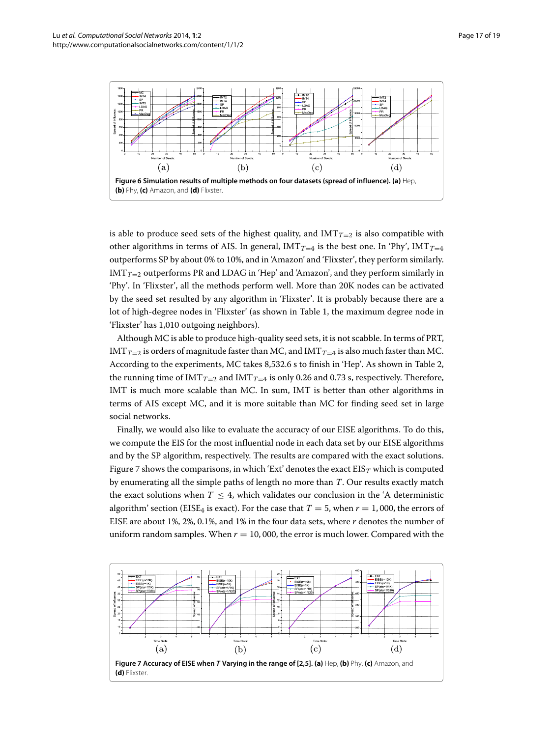

<span id="page-16-0"></span>is able to produce seed sets of the highest quality, and  $\text{IMT}_{T=2}$  is also compatible with other algorithms in terms of AIS. In general,  $IMT_{T=4}$  is the best one. In 'Phy',  $IMT_{T=4}$ outperforms SP by about 0% to 10%, and in 'Amazon' and 'Flixster', they perform similarly.  $IMT_{T=2}$  outperforms PR and LDAG in 'Hep' and 'Amazon', and they perform similarly in 'Phy'. In 'Flixster', all the methods perform well. More than 20K nodes can be activated by the seed set resulted by any algorithm in 'Flixster'. It is probably because there are a lot of high-degree nodes in 'Flixster' (as shown in Table [1,](#page-14-2) the maximum degree node in 'Flixster' has 1,010 outgoing neighbors).

Although MC is able to produce high-quality seed sets, it is not scabble. In terms of PRT, IMT<sub>*T*=2</sub> is orders of magnitude faster than MC, and IMT<sub>*T*=4</sub> is also much faster than MC. According to the experiments, MC takes 8,532.6 s to finish in 'Hep'. As shown in Table [2,](#page-15-1) the running time of  $\text{IMT}_{T=2}$  and  $\text{IMT}_{T=4}$  is only 0.26 and 0.73 s, respectively. Therefore, IMT is much more scalable than MC. In sum, IMT is better than other algorithms in terms of AIS except MC, and it is more suitable than MC for finding seed set in large social networks.

Finally, we would also like to evaluate the accuracy of our EISE algorithms. To do this, we compute the EIS for the most influential node in each data set by our EISE algorithms and by the SP algorithm, respectively. The results are compared with the exact solutions. Figure [7](#page-16-1) shows the comparisons, in which 'Ext' denotes the exact  $EIS_T$  which is computed by enumerating all the simple paths of length no more than *T*. Our results exactly match the exact solutions when  $T \leq 4$ , which validates our conclusion in the ['A deterministic](#page-4-3) [algorithm'](#page-4-3) section (EISE<sub>4</sub> is exact). For the case that  $T = 5$ , when  $r = 1,000$ , the errors of EISE are about 1%, 2%, 0.1%, and 1% in the four data sets, where *r* denotes the number of uniform random samples. When  $r = 10,000$ , the error is much lower. Compared with the

<span id="page-16-1"></span>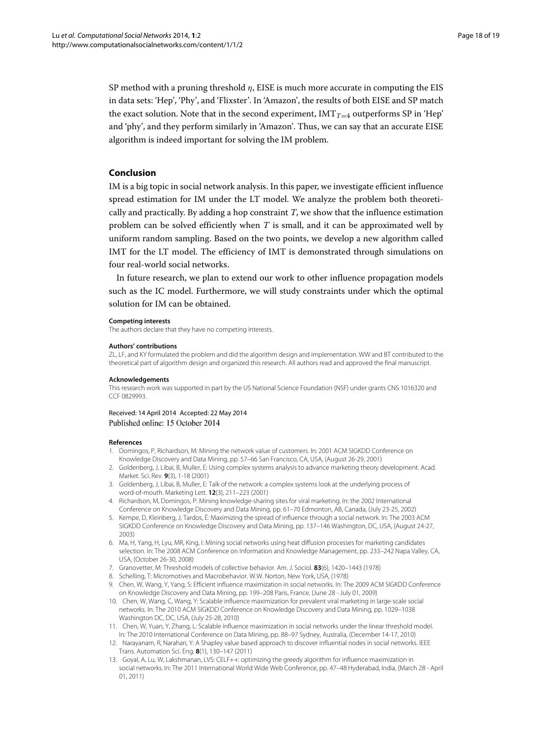SP method with a pruning threshold  $\eta$ , EISE is much more accurate in computing the EIS in data sets: 'Hep', 'Phy', and 'Flixster'. In 'Amazon', the results of both EISE and SP match the exact solution. Note that in the second experiment,  $IMT_{T=4}$  outperforms SP in 'Hep' and 'phy', and they perform similarly in 'Amazon'. Thus, we can say that an accurate EISE algorithm is indeed important for solving the IM problem.

# <span id="page-17-10"></span>**Conclusion**

IM is a big topic in social network analysis. In this paper, we investigate efficient influence spread estimation for IM under the LT model. We analyze the problem both theoretically and practically. By adding a hop constraint *T*, we show that the influence estimation problem can be solved efficiently when *T* is small, and it can be approximated well by uniform random sampling. Based on the two points, we develop a new algorithm called IMT for the LT model. The efficiency of IMT is demonstrated through simulations on four real-world social networks.

In future research, we plan to extend our work to other influence propagation models such as the IC model. Furthermore, we will study constraints under which the optimal solution for IM can be obtained.

#### **Competing interests**

The authors declare that they have no competing interests.

#### **Authors' contributions**

ZL, LF, and KY formulated the problem and did the algorithm design and implementation. WW and BT contributed to the theoretical part of algorithm design and organized this research. All authors read and approved the final manuscript.

#### **Acknowledgements**

This research work was supported in part by the US National Science Foundation (NSF) under grants CNS 1016320 and CCF 0829993.

#### Received: 14 April 2014 Accepted: 22 May 2014 Published online: 15 October 2014

#### **References**

- <span id="page-17-0"></span>1. Domingos, P, Richardson, M: Mining the network value of customers. In: 2001 ACM SIGKDD Conference on Knowledge Discovery and Data Mining, pp. 57–66 San Francisco, CA, USA, (August 26-29, 2001)
- <span id="page-17-3"></span>2. Goldenberg, J, Libai, B, Muller, E: Using complex systems analysis to advance marketing theory development. Acad. Market. Sci. Rev. **9**(3), 1-18 (2001)
- <span id="page-17-4"></span>3. Goldenberg, J, Libai, B, Muller, E: Talk of the network: a complex systems look at the underlying process of word-of-mouth. Marketing Lett. **12**(3), 211–223 (2001)
- 4. Richardson, M, Domingos, P: Mining knowledge-sharing sites for viral marketing. In: the 2002 International Conference on Knowledge Discovery and Data Mining, pp. 61–70 Edmonton, AB, Canada, (July 23-25, 2002)
- <span id="page-17-2"></span>5. Kempe, D, Kleinberg, J, Tardos, É: Maximizing the spread of influence through a social network. In: The 2003 ACM SIGKDD Conference on Knowledge Discovery and Data Mining, pp. 137–146 Washington, DC, USA, (August 24-27, 2003)
- <span id="page-17-1"></span>6. Ma, H, Yang, H, Lyu, MR, King, I: Mining social networks using heat diffusion processes for marketing candidates selection. In: The 2008 ACM Conference on Information and Knowledge Management, pp. 233–242 Napa Valley, CA, USA, (October 26-30, 2008)
- <span id="page-17-5"></span>7. Granovetter, M: Threshold models of collective behavior. Am. J. Sociol. **83**(6), 1420–1443 (1978)
- <span id="page-17-6"></span>8. Schelling, T: Micromotives and Macrobehavior. W.W. Norton, New York, USA, (1978)
- <span id="page-17-7"></span>9. Chen, W, Wang, Y, Yang, S: Efficient influence maximization in social networks. In: The 2009 ACM SIGKDD Conference on Knowledge Discovery and Data Mining, pp. 199–208 Paris, France, (June 28 - July 01, 2009)
- <span id="page-17-11"></span>10. Chen, W, Wang, C, Wang, Y: Scalable influence maximization for prevalent viral marketing in large-scale social networks. In: The 2010 ACM SIGKDD Conference on Knowledge Discovery and Data Mining, pp. 1029–1038 Washington DC, DC, USA, (July 25-28, 2010)
- <span id="page-17-8"></span>11. Chen, W, Yuan, Y, Zhang, L: Scalable influence maximization in social networks under the linear threshold model. In: The 2010 International Conference on Data Mining, pp. 88–97 Sydney, Australia, (December 14-17, 2010)
- <span id="page-17-12"></span>12. Narayanam, R, Narahari, Y: A Shapley value based approach to discover influential nodes in social networks. IEEE Trans. Automation Sci. Eng. **8**(1), 130–147 (2011)
- <span id="page-17-9"></span>13. Goyal, A, Lu, W, Lakshmanan, LVS: CELF++: optimizing the greedy algorithm for influence maximization in social networks. In: The 2011 International World Wide Web Conference, pp. 47–48 Hyderabad, India, (March 28 - April 01, 2011)